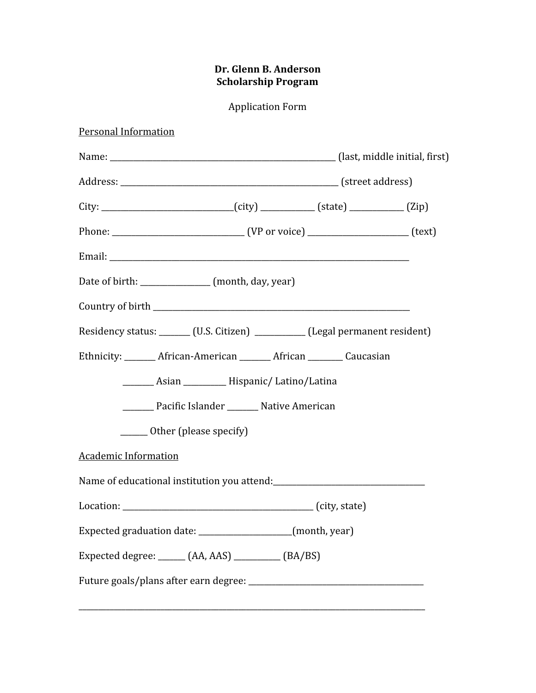## Dr. Glenn B. Anderson Scholarship Program

Application Form

| <b>Personal Information</b>                                                             |  |
|-----------------------------------------------------------------------------------------|--|
|                                                                                         |  |
|                                                                                         |  |
| City: _______________________________(city) ______________ (state) ______________ (Zip) |  |
|                                                                                         |  |
|                                                                                         |  |
| Date of birth: ______________ (month, day, year)                                        |  |
|                                                                                         |  |
| Residency status: ______ (U.S. Citizen) _________ (Legal permanent resident)            |  |
| Ethnicity: ________ African-American _______ African ________ Caucasian                 |  |
|                                                                                         |  |
| ________ Pacific Islander ________ Native American                                      |  |
| ______ Other (please specify)                                                           |  |
| <b>Academic Information</b>                                                             |  |
|                                                                                         |  |
|                                                                                         |  |
| Expected graduation date: ___________________(month, year)                              |  |
| Expected degree: ______ (AA, AAS) _________ (BA/BS)                                     |  |
|                                                                                         |  |